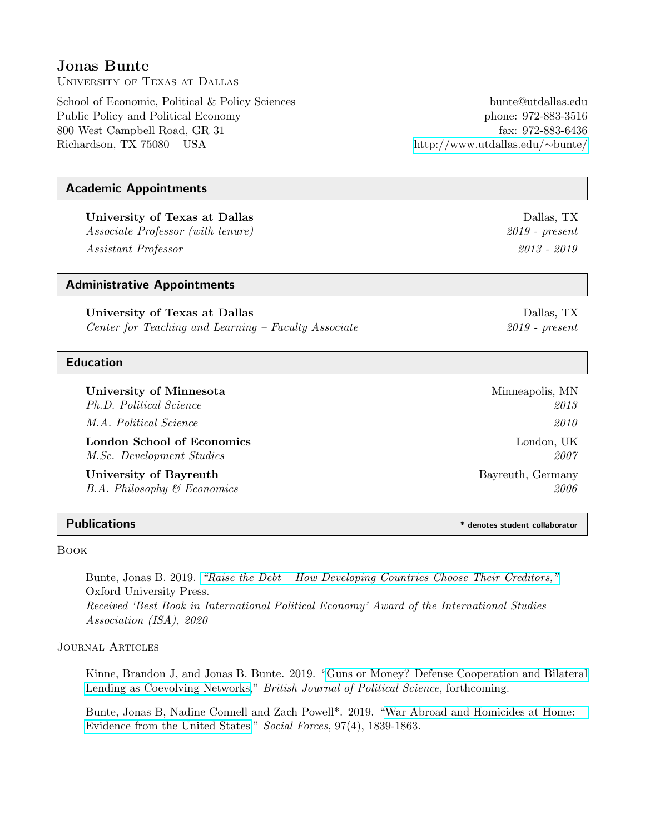# Jonas Bunte

University of Texas at Dallas

School of Economic, Political & Policy Sciences bunte@utdallas.edu Public Policy and Political Economy phone: 972-883-3516 800 West Campbell Road, GR 31 fax: 972-883-6436 Richardson, TX 75080 – USA [http://www.utdallas.edu/](http://www.utdallas.edu/~bunte/)∼bunte/

## Academic Appointments

University of Texas at Dallas Data Data behavior of the Dallas, TX Dallas, TX Associate Professor (with tenure) 2019 - present Assistant Professor 2013 - 2019

## Administrative Appointments

University of Texas at Dallas Dallas Dallas, TX Center for Teaching and Learning – Faculty Associate 2019 - present

## Education

University of Minnesota and America Minneapolis, MN Ph.D. Political Science 2013 M.A. Political Science 2010 London School of Economics London, UK M.Sc. Development Studies 2007

University of Bayreuth Bayreuth Bayreuth, Germany  $B.A.$  Philosophy  $\mathscr B$  Economics 2006

Book

Bunte, Jonas B. 2019. ["Raise the Debt – How Developing Countries Choose Their Creditors,"](https://global.oup.com/academic/product/raise-the-debt-9780190866174) Oxford University Press. Received 'Best Book in International Political Economy' Award of the International Studies Association (ISA), 2020

#### Journal Articles

Kinne, Brandon J, and Jonas B. Bunte. 2019. ["Guns or Money? Defense Cooperation and Bilateral](https://www.cambridge.org/core/journals/british-journal-of-political-science/article/guns-or-money-defense-cooperation-and-bilateral-lending-as-coevolving-networks/F3BED272725CC429E9D30FA339956F39) [Lending as Coevolving Networks,](https://www.cambridge.org/core/journals/british-journal-of-political-science/article/guns-or-money-defense-cooperation-and-bilateral-lending-as-coevolving-networks/F3BED272725CC429E9D30FA339956F39)" British Journal of Political Science, forthcoming.

Bunte, Jonas B, Nadine Connell and Zach Powell\*. 2019. ["War Abroad and Homicides at Home:](https://academic.oup.com/sf/advance-article-abstract/doi/10.1093/sf/soy100/5145052?redirectedFrom=fulltext) [Evidence from the United States,](https://academic.oup.com/sf/advance-article-abstract/doi/10.1093/sf/soy100/5145052?redirectedFrom=fulltext)" Social Forces, 97(4), 1839-1863.

Publications \* denotes student collaborator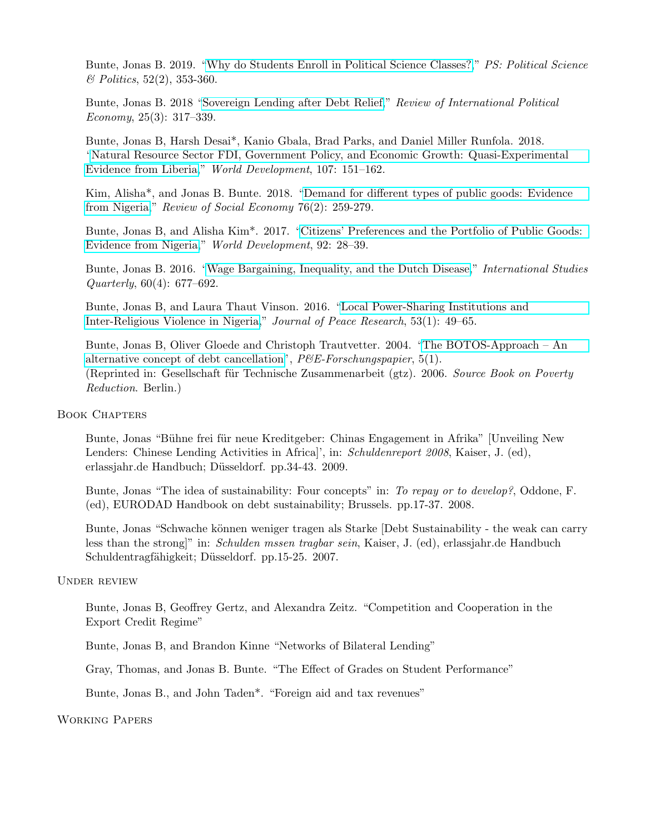Bunte, Jonas B. 2019. ["Why do Students Enroll in Political Science Classes?,](https://www.cambridge.org/core/journals/ps-political-science-and-politics/article/why-do-students-enroll-in-political-science-courses/EDB2AF92AD6C28344D3AD78ABC85428B)" PS: Political Science  $\&$  Politics, 52(2), 353-360.

Bunte, Jonas B. 2018 ["Sovereign Lending after Debt Relief,](https://www.tandfonline.com/doi/abs/10.1080/09692290.2018.1455600)" Review of International Political Economy, 25(3): 317–339.

Bunte, Jonas B, Harsh Desai\*, Kanio Gbala, Brad Parks, and Daniel Miller Runfola. 2018. ["Natural Resource Sector FDI, Government Policy, and Economic Growth: Quasi-Experimental](https://www.sciencedirect.com/science/article/pii/S0305750X18300792) [Evidence from Liberia,](https://www.sciencedirect.com/science/article/pii/S0305750X18300792)" World Development, 107: 151–162.

Kim, Alisha\*, and Jonas B. Bunte. 2018. ["Demand for different types of public goods: Evidence](https://www.tandfonline.com/doi/abs/10.1080/00346764.2018.1424930) [from Nigeria,](https://www.tandfonline.com/doi/abs/10.1080/00346764.2018.1424930)" Review of Social Economy 76(2): 259-279.

Bunte, Jonas B, and Alisha Kim\*. 2017. ["Citizens' Preferences and the Portfolio of Public Goods:](https://www.sciencedirect.com/science/article/pii/S0305750X15306860) [Evidence from Nigeria,](https://www.sciencedirect.com/science/article/pii/S0305750X15306860)" World Development, 92: 28–39.

Bunte, Jonas B. 2016. ["Wage Bargaining, Inequality, and the Dutch Disease,](https://academic.oup.com/isq/article/60/4/677/2633349)" *International Studies* Quarterly, 60(4): 677–692.

Bunte, Jonas B, and Laura Thaut Vinson. 2016. ["Local Power-Sharing Institutions and](http://journals.sagepub.com/doi/abs/10.1177/0022343315614999) [Inter-Religious Violence in Nigeria,](http://journals.sagepub.com/doi/abs/10.1177/0022343315614999)" Journal of Peace Research, 53(1): 49–65.

Bunte, Jonas B, Oliver Gloede and Christoph Trautvetter. 2004. ["The BOTOS-Approach – An](http://www.utdallas.edu/~bunte/resources/article_0_botos.pdf) [alternative concept of debt cancellation"](http://www.utdallas.edu/~bunte/resources/article_0_botos.pdf),  $P\&E\text{-}For schungs paper, 5(1)$ . (Reprinted in: Gesellschaft für Technische Zusammenarbeit (gtz). 2006. Source Book on Poverty Reduction. Berlin.)

## Book Chapters

Bunte, Jonas "Bühne frei für neue Kreditgeber: Chinas Engagement in Afrika" [Unveiling New Lenders: Chinese Lending Activities in Africa]', in: Schuldenreport 2008, Kaiser, J. (ed), erlassjahr.de Handbuch; Düsseldorf. pp. 34-43. 2009.

Bunte, Jonas "The idea of sustainability: Four concepts" in: To repay or to develop?, Oddone, F. (ed), EURODAD Handbook on debt sustainability; Brussels. pp.17-37. 2008.

Bunte, Jonas "Schwache können weniger tragen als Starke [Debt Sustainability - the weak can carry less than the strong<sup>"</sup> in: *Schulden mssen tragbar sein*, Kaiser, J. (ed), erlassjahr.de Handbuch Schuldentragfähigkeit; Düsseldorf. pp.15-25. 2007.

#### Under review

Bunte, Jonas B, Geoffrey Gertz, and Alexandra Zeitz. "Competition and Cooperation in the Export Credit Regime"

Bunte, Jonas B, and Brandon Kinne "Networks of Bilateral Lending"

Gray, Thomas, and Jonas B. Bunte. "The Effect of Grades on Student Performance"

Bunte, Jonas B., and John Taden\*. "Foreign aid and tax revenues"

#### Working Papers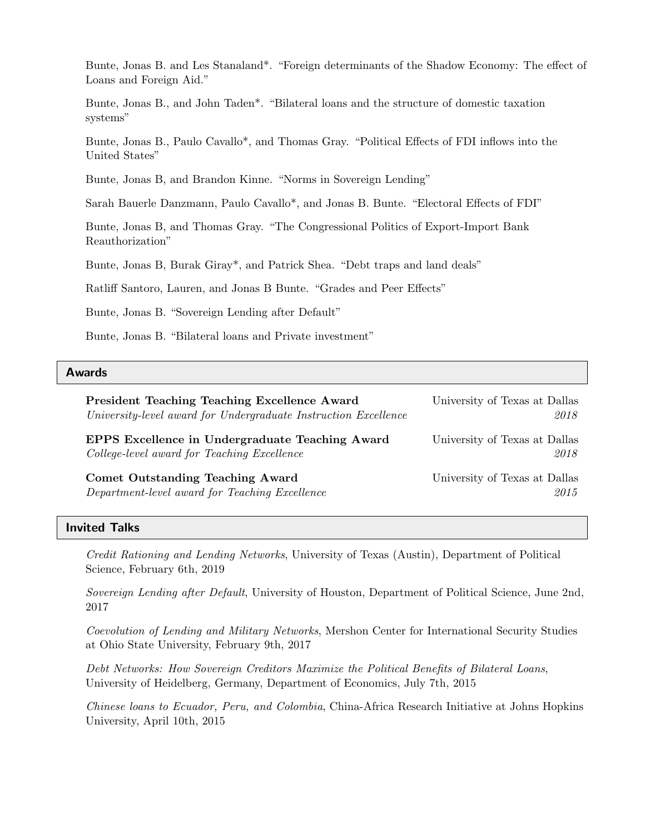Bunte, Jonas B. and Les Stanaland\*. "Foreign determinants of the Shadow Economy: The effect of Loans and Foreign Aid."

Bunte, Jonas B., and John Taden\*. "Bilateral loans and the structure of domestic taxation systems"

Bunte, Jonas B., Paulo Cavallo\*, and Thomas Gray. "Political Effects of FDI inflows into the United States"

Bunte, Jonas B, and Brandon Kinne. "Norms in Sovereign Lending"

Sarah Bauerle Danzmann, Paulo Cavallo\*, and Jonas B. Bunte. "Electoral Effects of FDI"

Bunte, Jonas B, and Thomas Gray. "The Congressional Politics of Export-Import Bank Reauthorization"

Bunte, Jonas B, Burak Giray\*, and Patrick Shea. "Debt traps and land deals"

Ratliff Santoro, Lauren, and Jonas B Bunte. "Grades and Peer Effects"

Bunte, Jonas B. "Sovereign Lending after Default"

Bunte, Jonas B. "Bilateral loans and Private investment"

#### Awards

President Teaching Teaching Excellence Award University of Texas at Dallas University-level award for Undergraduate Instruction Excellence 2018 EPPS Excellence in Undergraduate Teaching Award University of Texas at Dallas College-level award for Teaching Excellence 2018 Comet Outstanding Teaching Award University of Texas at Dallas Department-level award for Teaching Excellence 2015

#### Invited Talks

Credit Rationing and Lending Networks, University of Texas (Austin), Department of Political Science, February 6th, 2019

Sovereign Lending after Default, University of Houston, Department of Political Science, June 2nd, 2017

Coevolution of Lending and Military Networks, Mershon Center for International Security Studies at Ohio State University, February 9th, 2017

Debt Networks: How Sovereign Creditors Maximize the Political Benefits of Bilateral Loans, University of Heidelberg, Germany, Department of Economics, July 7th, 2015

Chinese loans to Ecuador, Peru, and Colombia, China-Africa Research Initiative at Johns Hopkins University, April 10th, 2015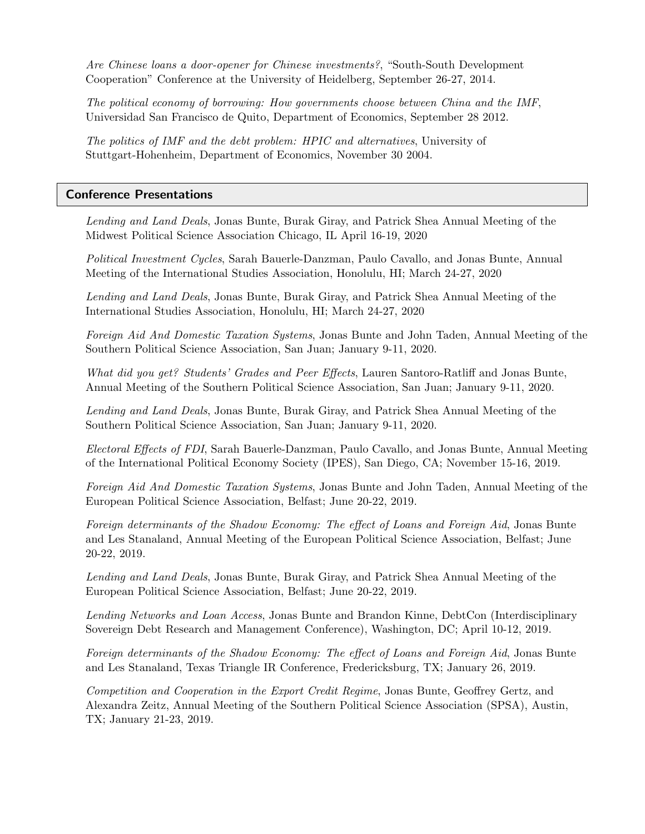Are Chinese loans a door-opener for Chinese investments?, "South-South Development Cooperation" Conference at the University of Heidelberg, September 26-27, 2014.

The political economy of borrowing: How governments choose between China and the IMF, Universidad San Francisco de Quito, Department of Economics, September 28 2012.

The politics of IMF and the debt problem: HPIC and alternatives, University of Stuttgart-Hohenheim, Department of Economics, November 30 2004.

#### Conference Presentations

Lending and Land Deals, Jonas Bunte, Burak Giray, and Patrick Shea Annual Meeting of the Midwest Political Science Association Chicago, IL April 16-19, 2020

Political Investment Cycles, Sarah Bauerle-Danzman, Paulo Cavallo, and Jonas Bunte, Annual Meeting of the International Studies Association, Honolulu, HI; March 24-27, 2020

Lending and Land Deals, Jonas Bunte, Burak Giray, and Patrick Shea Annual Meeting of the International Studies Association, Honolulu, HI; March 24-27, 2020

Foreign Aid And Domestic Taxation Systems, Jonas Bunte and John Taden, Annual Meeting of the Southern Political Science Association, San Juan; January 9-11, 2020.

What did you get? Students' Grades and Peer Effects, Lauren Santoro-Ratliff and Jonas Bunte, Annual Meeting of the Southern Political Science Association, San Juan; January 9-11, 2020.

Lending and Land Deals, Jonas Bunte, Burak Giray, and Patrick Shea Annual Meeting of the Southern Political Science Association, San Juan; January 9-11, 2020.

Electoral Effects of FDI, Sarah Bauerle-Danzman, Paulo Cavallo, and Jonas Bunte, Annual Meeting of the International Political Economy Society (IPES), San Diego, CA; November 15-16, 2019.

Foreign Aid And Domestic Taxation Systems, Jonas Bunte and John Taden, Annual Meeting of the European Political Science Association, Belfast; June 20-22, 2019.

Foreign determinants of the Shadow Economy: The effect of Loans and Foreign Aid, Jonas Bunte and Les Stanaland, Annual Meeting of the European Political Science Association, Belfast; June 20-22, 2019.

Lending and Land Deals, Jonas Bunte, Burak Giray, and Patrick Shea Annual Meeting of the European Political Science Association, Belfast; June 20-22, 2019.

Lending Networks and Loan Access, Jonas Bunte and Brandon Kinne, DebtCon (Interdisciplinary Sovereign Debt Research and Management Conference), Washington, DC; April 10-12, 2019.

Foreign determinants of the Shadow Economy: The effect of Loans and Foreign Aid, Jonas Bunte and Les Stanaland, Texas Triangle IR Conference, Fredericksburg, TX; January 26, 2019.

Competition and Cooperation in the Export Credit Regime, Jonas Bunte, Geoffrey Gertz, and Alexandra Zeitz, Annual Meeting of the Southern Political Science Association (SPSA), Austin, TX; January 21-23, 2019.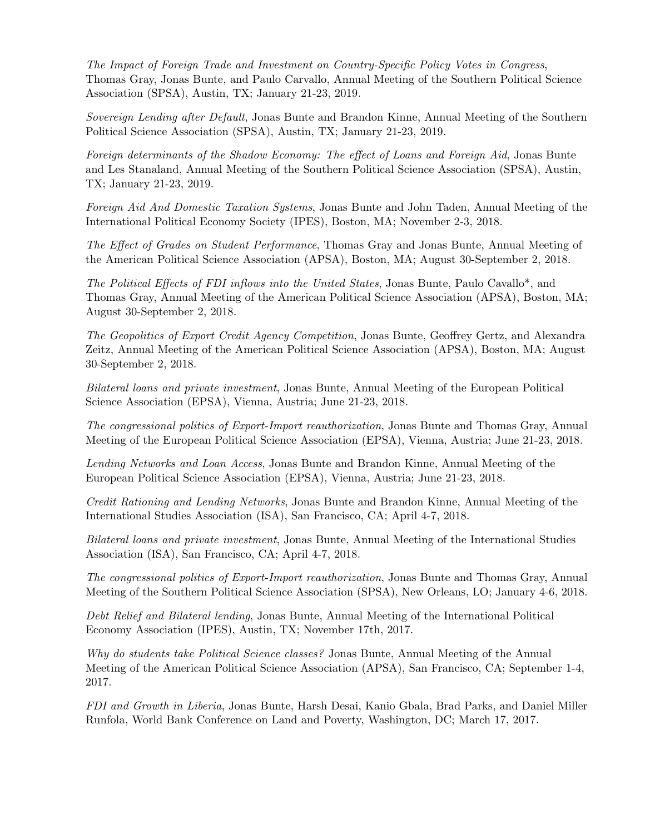The Impact of Foreign Trade and Investment on Country-Specific Policy Votes in Congress, Thomas Gray, Jonas Bunte, and Paulo Carvallo, Annual Meeting of the Southern Political Science Association (SPSA), Austin, TX; January 21-23, 2019.

Sovereign Lending after Default, Jonas Bunte and Brandon Kinne, Annual Meeting of the Southern Political Science Association (SPSA), Austin, TX; January 21-23, 2019.

Foreign determinants of the Shadow Economy: The effect of Loans and Foreign Aid, Jonas Bunte and Les Stanaland, Annual Meeting of the Southern Political Science Association (SPSA), Austin, TX; January 21-23, 2019.

Foreign Aid And Domestic Taxation Systems, Jonas Bunte and John Taden, Annual Meeting of the International Political Economy Society (IPES), Boston, MA; November 2-3, 2018.

The Effect of Grades on Student Performance, Thomas Gray and Jonas Bunte, Annual Meeting of the American Political Science Association (APSA), Boston, MA; August 30-September 2, 2018.

The Political Effects of FDI inflows into the United States, Jonas Bunte, Paulo Cavallo\*, and Thomas Gray, Annual Meeting of the American Political Science Association (APSA), Boston, MA; August 30-September 2, 2018.

The Geopolitics of Export Credit Agency Competition, Jonas Bunte, Geoffrey Gertz, and Alexandra Zeitz, Annual Meeting of the American Political Science Association (APSA), Boston, MA; August 30-September 2, 2018.

Bilateral loans and private investment, Jonas Bunte, Annual Meeting of the European Political Science Association (EPSA), Vienna, Austria; June 21-23, 2018.

The congressional politics of Export-Import reauthorization, Jonas Bunte and Thomas Gray, Annual Meeting of the European Political Science Association (EPSA), Vienna, Austria; June 21-23, 2018.

Lending Networks and Loan Access, Jonas Bunte and Brandon Kinne, Annual Meeting of the European Political Science Association (EPSA), Vienna, Austria; June 21-23, 2018.

Credit Rationing and Lending Networks, Jonas Bunte and Brandon Kinne, Annual Meeting of the International Studies Association (ISA), San Francisco, CA; April 4-7, 2018.

Bilateral loans and private investment, Jonas Bunte, Annual Meeting of the International Studies Association (ISA), San Francisco, CA; April 4-7, 2018.

The congressional politics of Export-Import reauthorization, Jonas Bunte and Thomas Gray, Annual Meeting of the Southern Political Science Association (SPSA), New Orleans, LO; January 4-6, 2018.

Debt Relief and Bilateral lending, Jonas Bunte, Annual Meeting of the International Political Economy Association (IPES), Austin, TX; November 17th, 2017.

Why do students take Political Science classes? Jonas Bunte, Annual Meeting of the Annual Meeting of the American Political Science Association (APSA), San Francisco, CA; September 1-4, 2017.

FDI and Growth in Liberia, Jonas Bunte, Harsh Desai, Kanio Gbala, Brad Parks, and Daniel Miller Runfola, World Bank Conference on Land and Poverty, Washington, DC; March 17, 2017.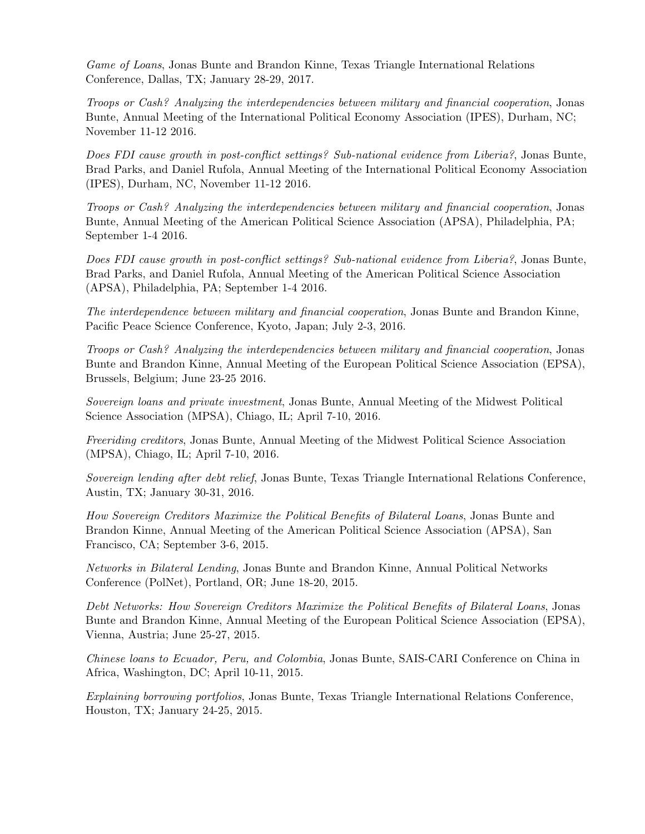Game of Loans, Jonas Bunte and Brandon Kinne, Texas Triangle International Relations Conference, Dallas, TX; January 28-29, 2017.

Troops or Cash? Analyzing the interdependencies between military and financial cooperation, Jonas Bunte, Annual Meeting of the International Political Economy Association (IPES), Durham, NC; November 11-12 2016.

Does FDI cause growth in post-conflict settings? Sub-national evidence from Liberia?, Jonas Bunte, Brad Parks, and Daniel Rufola, Annual Meeting of the International Political Economy Association (IPES), Durham, NC, November 11-12 2016.

Troops or Cash? Analyzing the interdependencies between military and financial cooperation, Jonas Bunte, Annual Meeting of the American Political Science Association (APSA), Philadelphia, PA; September 1-4 2016.

Does FDI cause growth in post-conflict settings? Sub-national evidence from Liberia?, Jonas Bunte, Brad Parks, and Daniel Rufola, Annual Meeting of the American Political Science Association (APSA), Philadelphia, PA; September 1-4 2016.

The interdependence between military and financial cooperation, Jonas Bunte and Brandon Kinne, Pacific Peace Science Conference, Kyoto, Japan; July 2-3, 2016.

Troops or Cash? Analyzing the interdependencies between military and financial cooperation, Jonas Bunte and Brandon Kinne, Annual Meeting of the European Political Science Association (EPSA), Brussels, Belgium; June 23-25 2016.

Sovereign loans and private investment, Jonas Bunte, Annual Meeting of the Midwest Political Science Association (MPSA), Chiago, IL; April 7-10, 2016.

Freeriding creditors, Jonas Bunte, Annual Meeting of the Midwest Political Science Association (MPSA), Chiago, IL; April 7-10, 2016.

Sovereign lending after debt relief, Jonas Bunte, Texas Triangle International Relations Conference, Austin, TX; January 30-31, 2016.

How Sovereign Creditors Maximize the Political Benefits of Bilateral Loans, Jonas Bunte and Brandon Kinne, Annual Meeting of the American Political Science Association (APSA), San Francisco, CA; September 3-6, 2015.

Networks in Bilateral Lending, Jonas Bunte and Brandon Kinne, Annual Political Networks Conference (PolNet), Portland, OR; June 18-20, 2015.

Debt Networks: How Sovereign Creditors Maximize the Political Benefits of Bilateral Loans, Jonas Bunte and Brandon Kinne, Annual Meeting of the European Political Science Association (EPSA), Vienna, Austria; June 25-27, 2015.

Chinese loans to Ecuador, Peru, and Colombia, Jonas Bunte, SAIS-CARI Conference on China in Africa, Washington, DC; April 10-11, 2015.

Explaining borrowing portfolios, Jonas Bunte, Texas Triangle International Relations Conference, Houston, TX; January 24-25, 2015.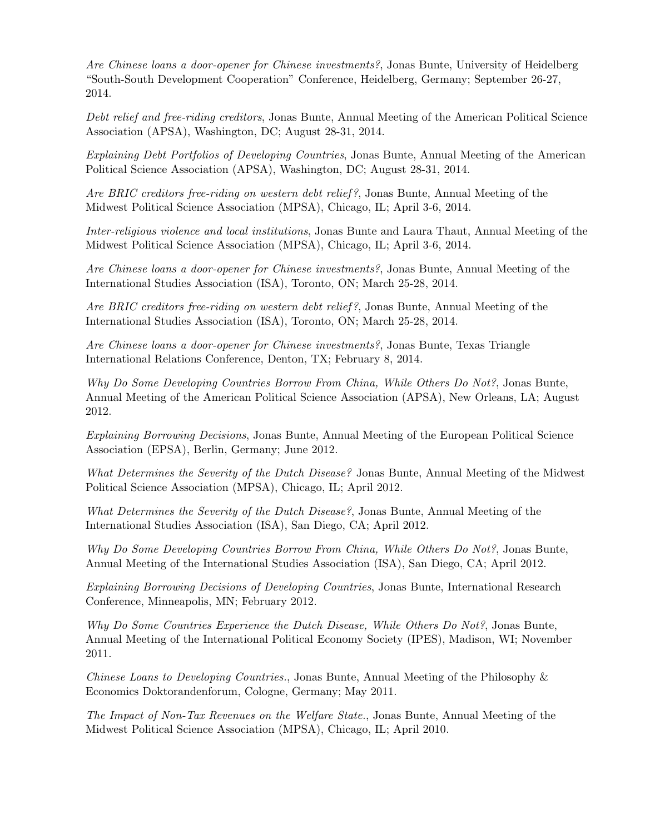Are Chinese loans a door-opener for Chinese investments?, Jonas Bunte, University of Heidelberg "South-South Development Cooperation" Conference, Heidelberg, Germany; September 26-27, 2014.

Debt relief and free-riding creditors, Jonas Bunte, Annual Meeting of the American Political Science Association (APSA), Washington, DC; August 28-31, 2014.

Explaining Debt Portfolios of Developing Countries, Jonas Bunte, Annual Meeting of the American Political Science Association (APSA), Washington, DC; August 28-31, 2014.

Are BRIC creditors free-riding on western debt relief?, Jonas Bunte, Annual Meeting of the Midwest Political Science Association (MPSA), Chicago, IL; April 3-6, 2014.

Inter-religious violence and local institutions, Jonas Bunte and Laura Thaut, Annual Meeting of the Midwest Political Science Association (MPSA), Chicago, IL; April 3-6, 2014.

Are Chinese loans a door-opener for Chinese investments?, Jonas Bunte, Annual Meeting of the International Studies Association (ISA), Toronto, ON; March 25-28, 2014.

Are BRIC creditors free-riding on western debt relief?, Jonas Bunte, Annual Meeting of the International Studies Association (ISA), Toronto, ON; March 25-28, 2014.

Are Chinese loans a door-opener for Chinese investments?, Jonas Bunte, Texas Triangle International Relations Conference, Denton, TX; February 8, 2014.

Why Do Some Developing Countries Borrow From China, While Others Do Not?, Jonas Bunte, Annual Meeting of the American Political Science Association (APSA), New Orleans, LA; August 2012.

Explaining Borrowing Decisions, Jonas Bunte, Annual Meeting of the European Political Science Association (EPSA), Berlin, Germany; June 2012.

What Determines the Severity of the Dutch Disease? Jonas Bunte, Annual Meeting of the Midwest Political Science Association (MPSA), Chicago, IL; April 2012.

What Determines the Severity of the Dutch Disease?, Jonas Bunte, Annual Meeting of the International Studies Association (ISA), San Diego, CA; April 2012.

Why Do Some Developing Countries Borrow From China, While Others Do Not?, Jonas Bunte, Annual Meeting of the International Studies Association (ISA), San Diego, CA; April 2012.

Explaining Borrowing Decisions of Developing Countries, Jonas Bunte, International Research Conference, Minneapolis, MN; February 2012.

Why Do Some Countries Experience the Dutch Disease, While Others Do Not?, Jonas Bunte, Annual Meeting of the International Political Economy Society (IPES), Madison, WI; November 2011.

Chinese Loans to Developing Countries., Jonas Bunte, Annual Meeting of the Philosophy & Economics Doktorandenforum, Cologne, Germany; May 2011.

The Impact of Non-Tax Revenues on the Welfare State., Jonas Bunte, Annual Meeting of the Midwest Political Science Association (MPSA), Chicago, IL; April 2010.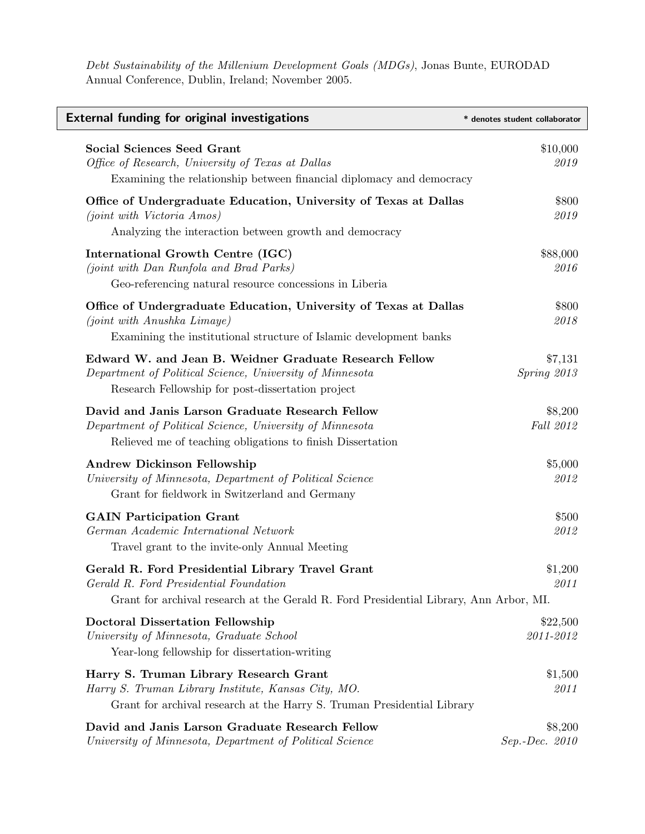Debt Sustainability of the Millenium Development Goals (MDGs), Jonas Bunte, EURODAD Annual Conference, Dublin, Ireland; November 2005.

| <b>External funding for original investigations</b>                                                                                                                                  | * denotes student collaborator |
|--------------------------------------------------------------------------------------------------------------------------------------------------------------------------------------|--------------------------------|
| <b>Social Sciences Seed Grant</b><br>Office of Research, University of Texas at Dallas<br>Examining the relationship between financial diplomacy and democracy                       | \$10,000<br>2019               |
| Office of Undergraduate Education, University of Texas at Dallas<br>(joint with Victoria Amos)<br>Analyzing the interaction between growth and democracy                             | \$800<br>2019                  |
| International Growth Centre (IGC)<br>(joint with Dan Runfola and Brad Parks)<br>Geo-referencing natural resource concessions in Liberia                                              | \$88,000<br>2016               |
| Office of Undergraduate Education, University of Texas at Dallas<br>(joint with Anushka Limaye)<br>Examining the institutional structure of Islamic development banks                | \$800<br>2018                  |
| Edward W. and Jean B. Weidner Graduate Research Fellow<br>Department of Political Science, University of Minnesota<br>Research Fellowship for post-dissertation project              | \$7,131<br>Spring 2013         |
| David and Janis Larson Graduate Research Fellow<br>Department of Political Science, University of Minnesota<br>Relieved me of teaching obligations to finish Dissertation            | \$8,200<br>Fall 2012           |
| <b>Andrew Dickinson Fellowship</b><br>University of Minnesota, Department of Political Science<br>Grant for fieldwork in Switzerland and Germany                                     | \$5,000<br>2012                |
| <b>GAIN</b> Participation Grant<br>German Academic International Network<br>Travel grant to the invite-only Annual Meeting                                                           | \$500<br>2012                  |
| Gerald R. Ford Presidential Library Travel Grant<br>Gerald R. Ford Presidential Foundation<br>Grant for archival research at the Gerald R. Ford Presidential Library, Ann Arbor, MI. | \$1,200<br>2011                |
| <b>Doctoral Dissertation Fellowship</b><br>University of Minnesota, Graduate School<br>Year-long fellowship for dissertation-writing                                                 | \$22,500<br>2011-2012          |
| Harry S. Truman Library Research Grant<br>Harry S. Truman Library Institute, Kansas City, MO.<br>Grant for archival research at the Harry S. Truman Presidential Library             | \$1,500<br>2011                |
| David and Janis Larson Graduate Research Fellow<br>University of Minnesota, Department of Political Science                                                                          | \$8,200<br>Sep.-Dec. 2010      |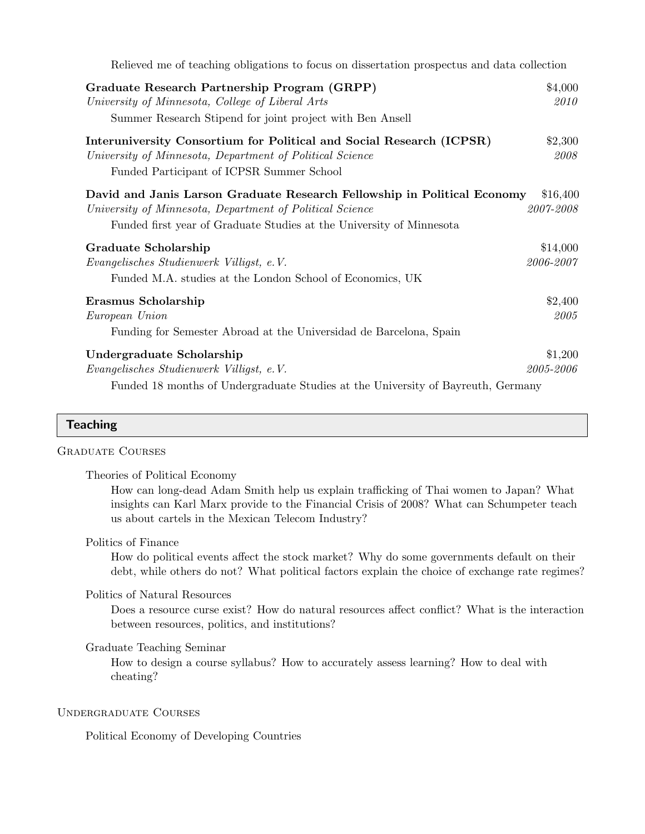| Relieved me of teaching obligations to focus on dissertation prospectus and data collection                                                                                                                  |                       |
|--------------------------------------------------------------------------------------------------------------------------------------------------------------------------------------------------------------|-----------------------|
| Graduate Research Partnership Program (GRPP)<br>University of Minnesota, College of Liberal Arts<br>Summer Research Stipend for joint project with Ben Ansell                                                | \$4,000<br>2010       |
| Interuniversity Consortium for Political and Social Research (ICPSR)<br>University of Minnesota, Department of Political Science<br>Funded Participant of ICPSR Summer School                                | \$2,300<br>2008       |
| David and Janis Larson Graduate Research Fellowship in Political Economy<br>University of Minnesota, Department of Political Science<br>Funded first year of Graduate Studies at the University of Minnesota | \$16,400<br>2007-2008 |
| Graduate Scholarship<br>Evangelisches Studienwerk Villigst, e.V.<br>Funded M.A. studies at the London School of Economics, UK                                                                                | \$14,000<br>2006-2007 |
| Erasmus Scholarship<br>European Union<br>Funding for Semester Abroad at the Universidad de Barcelona, Spain                                                                                                  | \$2,400<br>2005       |
| Undergraduate Scholarship<br>Evangelisches Studienwerk Villigst, e.V.<br>Funded 18 months of Undergraduate Studies at the University of Bayreuth, Germany                                                    | \$1,200<br>2005-2006  |

## **Teaching**

#### Graduate Courses

Theories of Political Economy

How can long-dead Adam Smith help us explain trafficking of Thai women to Japan? What insights can Karl Marx provide to the Financial Crisis of 2008? What can Schumpeter teach us about cartels in the Mexican Telecom Industry?

#### Politics of Finance

How do political events affect the stock market? Why do some governments default on their debt, while others do not? What political factors explain the choice of exchange rate regimes?

#### Politics of Natural Resources

Does a resource curse exist? How do natural resources affect conflict? What is the interaction between resources, politics, and institutions?

## Graduate Teaching Seminar

How to design a course syllabus? How to accurately assess learning? How to deal with cheating?

## Undergraduate Courses

Political Economy of Developing Countries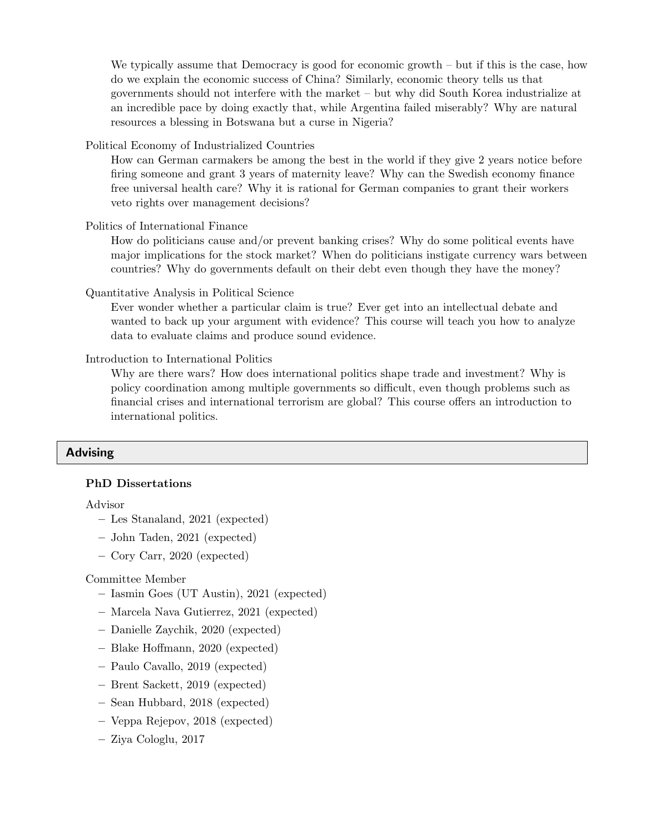We typically assume that Democracy is good for economic growth – but if this is the case, how do we explain the economic success of China? Similarly, economic theory tells us that governments should not interfere with the market – but why did South Korea industrialize at an incredible pace by doing exactly that, while Argentina failed miserably? Why are natural resources a blessing in Botswana but a curse in Nigeria?

Political Economy of Industrialized Countries

How can German carmakers be among the best in the world if they give 2 years notice before firing someone and grant 3 years of maternity leave? Why can the Swedish economy finance free universal health care? Why it is rational for German companies to grant their workers veto rights over management decisions?

Politics of International Finance

How do politicians cause and/or prevent banking crises? Why do some political events have major implications for the stock market? When do politicians instigate currency wars between countries? Why do governments default on their debt even though they have the money?

Quantitative Analysis in Political Science

Ever wonder whether a particular claim is true? Ever get into an intellectual debate and wanted to back up your argument with evidence? This course will teach you how to analyze data to evaluate claims and produce sound evidence.

Introduction to International Politics

Why are there wars? How does international politics shape trade and investment? Why is policy coordination among multiple governments so difficult, even though problems such as financial crises and international terrorism are global? This course offers an introduction to international politics.

## Advising

## PhD Dissertations

## Advisor

- Les Stanaland, 2021 (expected)
- John Taden, 2021 (expected)
- Cory Carr, 2020 (expected)

## Committee Member

- Iasmin Goes (UT Austin), 2021 (expected)
- Marcela Nava Gutierrez, 2021 (expected)
- Danielle Zaychik, 2020 (expected)
- Blake Hoffmann, 2020 (expected)
- Paulo Cavallo, 2019 (expected)
- Brent Sackett, 2019 (expected)
- Sean Hubbard, 2018 (expected)
- Veppa Rejepov, 2018 (expected)
- Ziya Cologlu, 2017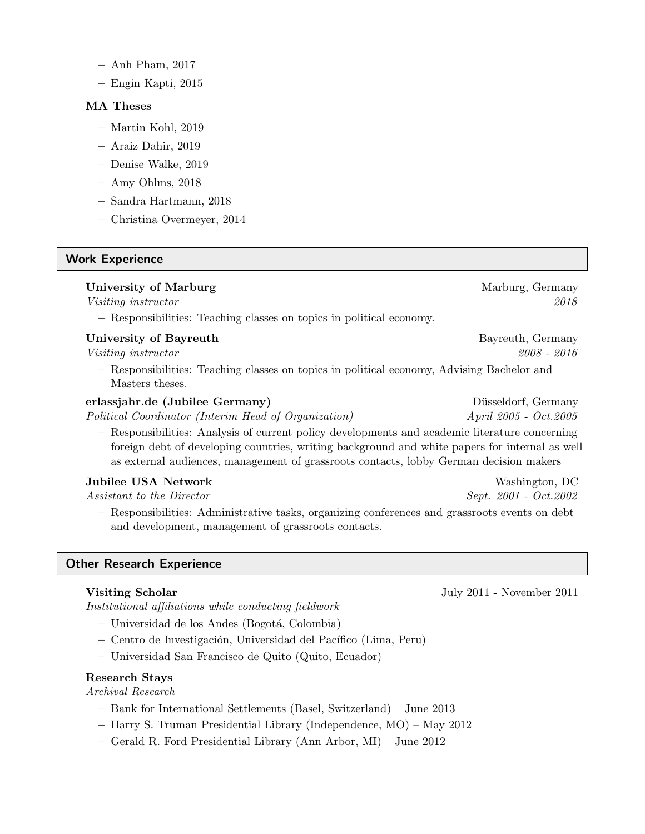- Anh Pham, 2017
- Engin Kapti, 2015

## MA Theses

- Martin Kohl, 2019
- Araiz Dahir, 2019
- Denise Walke, 2019
- Amy Ohlms, 2018
- Sandra Hartmann, 2018
- Christina Overmeyer, 2014

## Work Experience

## University of Marburg Marchael Marchael Marchael Marchael Marchael Marchael Marchael Marchael Marchael Marchael

Visiting instructor 2018

– Responsibilities: Teaching classes on topics in political economy.

## University of Bayreuth Bayreuth Bayreuth, Germany

Visiting instructor 2008 - 2016

– Responsibilities: Teaching classes on topics in political economy, Advising Bachelor and Masters theses.

## erlassjahr.de (Jubilee Germany) Düsseldorf, Germany

Political Coordinator (Interim Head of Organization)  $\Delta pril$  2005 - Oct.2005

– Responsibilities: Analysis of current policy developments and academic literature concerning foreign debt of developing countries, writing background and white papers for internal as well as external audiences, management of grassroots contacts, lobby German decision makers

## Jubilee USA Network Washington, DC

Assistant to the Director  $S$ ept. 2001 - Oct.2002

– Responsibilities: Administrative tasks, organizing conferences and grassroots events on debt and development, management of grassroots contacts.

## Other Research Experience

Institutional affiliations while conducting fieldwork

- Universidad de los Andes (Bogot´a, Colombia)
- Centro de Investigaci´on, Universidad del Pac´ıfico (Lima, Peru)
- Universidad San Francisco de Quito (Quito, Ecuador)

## Research Stays

Archival Research

- Bank for International Settlements (Basel, Switzerland) June 2013
- Harry S. Truman Presidential Library (Independence, MO) May 2012
- Gerald R. Ford Presidential Library (Ann Arbor, MI) June 2012

Visiting Scholar **Visiting Scholar** July 2011 - November 2011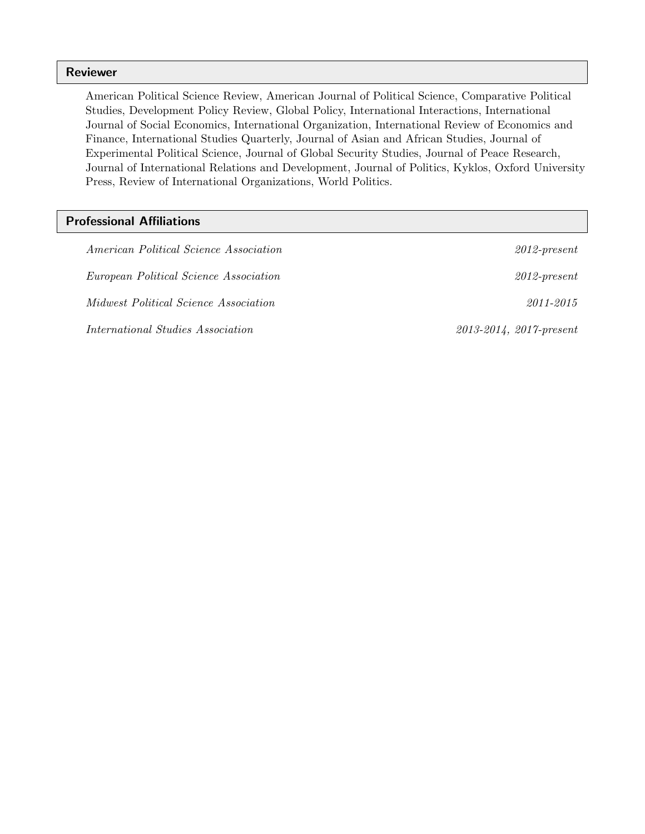## Reviewer

American Political Science Review, American Journal of Political Science, Comparative Political Studies, Development Policy Review, Global Policy, International Interactions, International Journal of Social Economics, International Organization, International Review of Economics and Finance, International Studies Quarterly, Journal of Asian and African Studies, Journal of Experimental Political Science, Journal of Global Security Studies, Journal of Peace Research, Journal of International Relations and Development, Journal of Politics, Kyklos, Oxford University Press, Review of International Organizations, World Politics.

## Professional Affiliations

| <i>American Political Science Association</i> | $2012$ -present                 |
|-----------------------------------------------|---------------------------------|
|                                               |                                 |
| <i>European Political Science Association</i> | $2012$ -present                 |
| <i>Midwest Political Science Association</i>  | 2011-2015                       |
| <i>International Studies Association</i>      | $2013 - 2014$ , $2017$ -present |